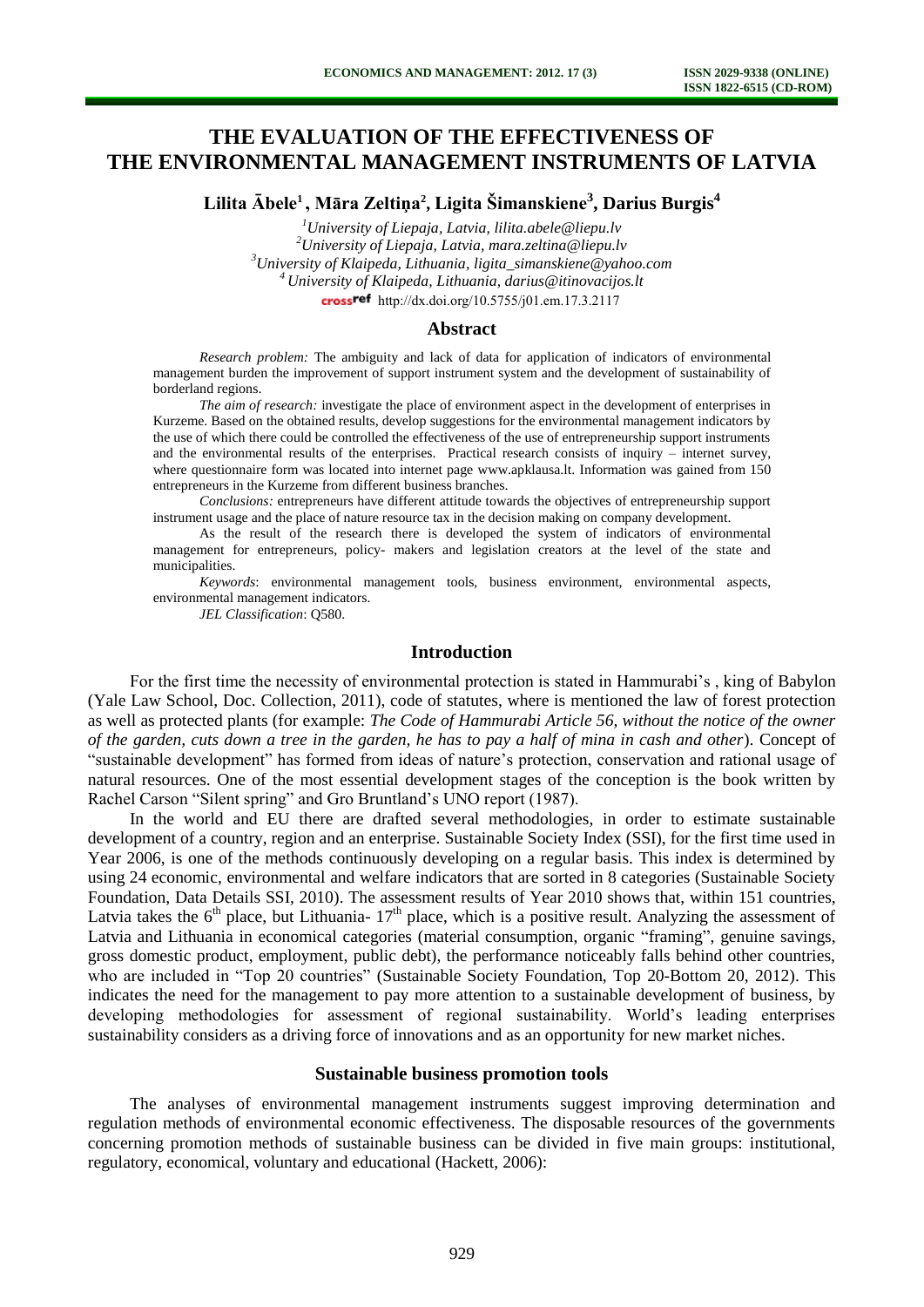# **THE EVALUATION OF THE EFFECTIVENESS OF THE ENVIRONMENTAL MANAGEMENT INSTRUMENTS OF LATVIA**

**Lilita Ābele<sup>1</sup>, Māra Zeltiņa<sup>2</sup> , Ligita Šimanskiene<sup>3</sup> , Darius Burgis<sup>4</sup>**

*University of Liepaja, Latvia, lilita.abele@liepu.lv University of Liepaja, Latvia, [mara.zeltina@liepu.lv](mailto:mara.zeltina@liepu.lv) University of Klaipeda, Lithuania, ligita\_simanskiene@yahoo.com University of Klaipeda, Lithuania, darius@itinovacijos.lt*  cross<sup>ref</sup> [http://dx.doi.org/10.5755/j01.e](http://dx.doi.org/10.5755/j01.em.17.3.2117)m.17.3.2117

#### **Abstract**

*Research problem:* The ambiguity and lack of data for application of indicators of environmental management burden the improvement of support instrument system and the development of sustainability of borderland regions.

*The aim of research:* investigate the place of environment aspect in the development of enterprises in Kurzeme. Based on the obtained results, develop suggestions for the environmental management indicators by the use of which there could be controlled the effectiveness of the use of entrepreneurship support instruments and the environmental results of the enterprises. Practical research consists of inquiry – internet survey, where questionnaire form was located into internet page [www.apklausa.lt.](http://www.apklausa.lt/) Information was gained from 150 entrepreneurs in the Kurzeme from different business branches.

*Conclusions:* entrepreneurs have different attitude towards the objectives of entrepreneurship support instrument usage and the place of nature resource tax in the decision making on company development.

As the result of the research there is developed the system of indicators of environmental management for entrepreneurs, policy- makers and legislation creators at the level of the state and municipalities.

*Keywords*: environmental management tools, business environment, environmental aspects, environmental management indicators.

*JEL Classification*: Q580.

## **Introduction**

For the first time the necessity of environmental protection is stated in Hammurabi's , king of Babylon (Yale Law School, Doc. Collection, 2011), code of statutes, where is mentioned the law of forest protection as well as protected plants (for example: *The Code of Hammurabi Article 56, without the notice of the owner of the garden, cuts down a tree in the garden, he has to pay a half of mina in cash and other*). Concept of "sustainable development" has formed from ideas of nature's protection, conservation and rational usage of natural resources. One of the most essential development stages of the conception is the book written by Rachel Carson "Silent spring" and Gro Bruntland's UNO report (1987).

In the world and EU there are drafted several methodologies, in order to estimate sustainable development of a country, region and an enterprise. Sustainable Society Index (SSI), for the first time used in Year 2006, is one of the methods continuously developing on a regular basis. This index is determined by using 24 economic, environmental and welfare indicators that are sorted in 8 categories (Sustainable Society Foundation, Data Details SSI, 2010). The assessment results of Year 2010 shows that, within 151 countries, Latvia takes the  $6<sup>th</sup>$  place, but Lithuania-  $17<sup>th</sup>$  place, which is a positive result. Analyzing the assessment of Latvia and Lithuania in economical categories (material consumption, organic "framing", genuine savings, gross domestic product, employment, public debt), the performance noticeably falls behind other countries, who are included in "Top 20 countries" (Sustainable Society Foundation, Top 20-Bottom 20, 2012). This indicates the need for the management to pay more attention to a sustainable development of business, by developing methodologies for assessment of regional sustainability. World's leading enterprises sustainability considers as a driving force of innovations and as an opportunity for new market niches.

## **Sustainable business promotion tools**

The analyses of environmental management instruments suggest improving determination and regulation methods of environmental economic effectiveness. The disposable resources of the governments concerning promotion methods of sustainable business can be divided in five main groups: institutional, regulatory, economical, voluntary and educational (Hackett, 2006):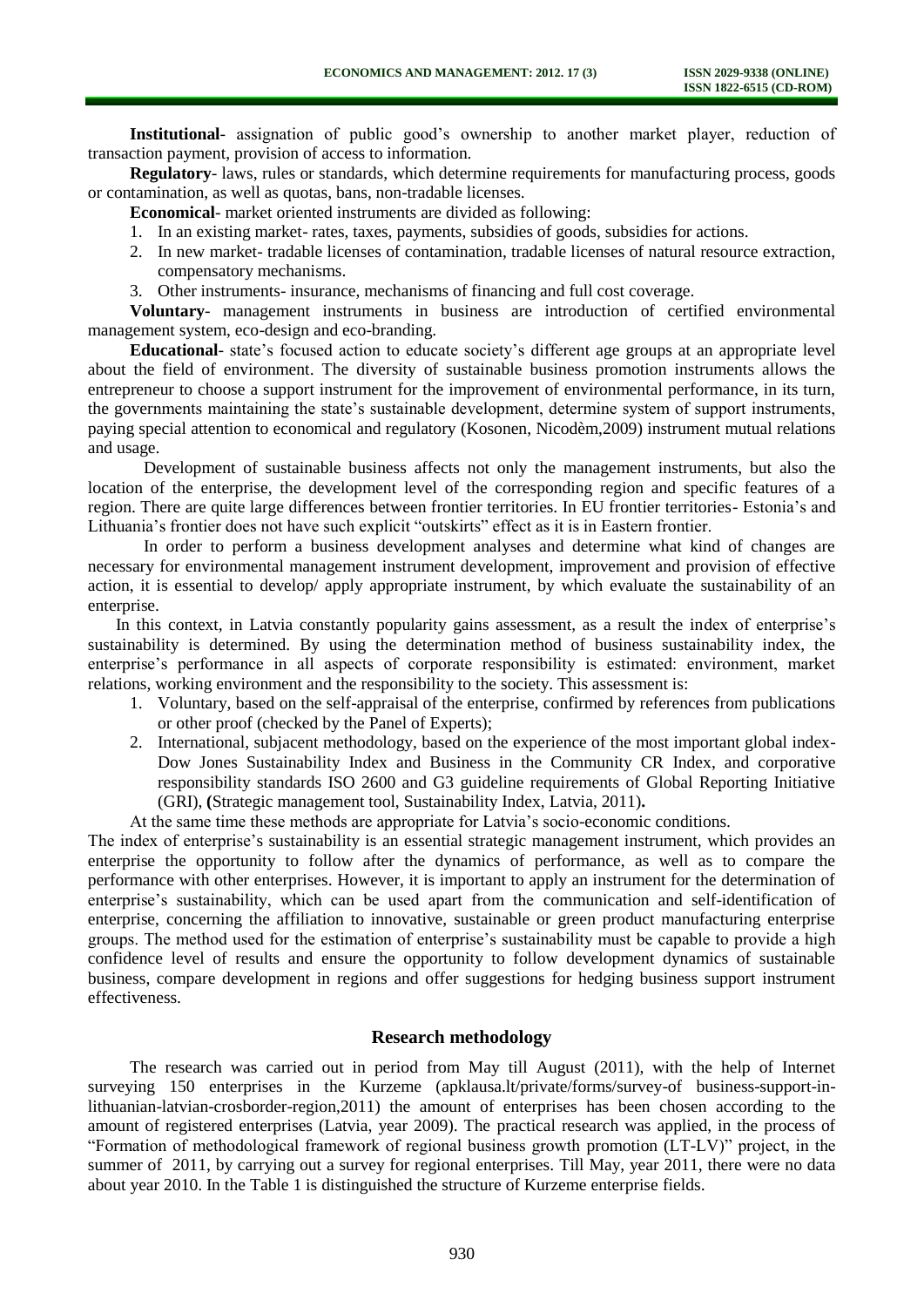**Institutional**- assignation of public good's ownership to another market player, reduction of transaction payment, provision of access to information.

**Regulatory**- laws, rules or standards, which determine requirements for manufacturing process, goods or contamination, as well as quotas, bans, non-tradable licenses.

**Economical**- market oriented instruments are divided as following:

- 1. In an existing market- rates, taxes, payments, subsidies of goods, subsidies for actions.
- 2. In new market- tradable licenses of contamination, tradable licenses of natural resource extraction, compensatory mechanisms.
- 3. Other instruments- insurance, mechanisms of financing and full cost coverage.

**Voluntary**- management instruments in business are introduction of certified environmental management system, eco-design and eco-branding.

**Educational**- state's focused action to educate society's different age groups at an appropriate level about the field of environment. The diversity of sustainable business promotion instruments allows the entrepreneur to choose a support instrument for the improvement of environmental performance, in its turn, the governments maintaining the state's sustainable development, determine system of support instruments, paying special attention to economical and regulatory (Kosonen, Nicodèm,2009) instrument mutual relations and usage.

Development of sustainable business affects not only the management instruments, but also the location of the enterprise, the development level of the corresponding region and specific features of a region. There are quite large differences between frontier territories. In EU frontier territories- Estonia's and Lithuania's frontier does not have such explicit "outskirts" effect as it is in Eastern frontier.

In order to perform a business development analyses and determine what kind of changes are necessary for environmental management instrument development, improvement and provision of effective action, it is essential to develop/ apply appropriate instrument, by which evaluate the sustainability of an enterprise.

In this context, in Latvia constantly popularity gains assessment, as a result the index of enterprise's sustainability is determined. By using the determination method of business sustainability index, the enterprise's performance in all aspects of corporate responsibility is estimated: environment, market relations, working environment and the responsibility to the society. This assessment is:

- 1. Voluntary, based on the self-appraisal of the enterprise, confirmed by references from publications or other proof (checked by the Panel of Experts);
- 2. International, subjacent methodology, based on the experience of the most important global index-Dow Jones Sustainability Index and Business in the Community CR Index, and corporative responsibility standards ISO 2600 and G3 guideline requirements of Global Reporting Initiative (GRI), **(**Strategic management tool, Sustainability Index, Latvia, 2011)**.**

At the same time these methods are appropriate for Latvia's socio-economic conditions.

The index of enterprise's sustainability is an essential strategic management instrument, which provides an enterprise the opportunity to follow after the dynamics of performance, as well as to compare the performance with other enterprises. However, it is important to apply an instrument for the determination of enterprise's sustainability, which can be used apart from the communication and self-identification of enterprise, concerning the affiliation to innovative, sustainable or green product manufacturing enterprise groups. The method used for the estimation of enterprise's sustainability must be capable to provide a high confidence level of results and ensure the opportunity to follow development dynamics of sustainable business, compare development in regions and offer suggestions for hedging business support instrument effectiveness.

## **Research methodology**

The research was carried out in period from May till August (2011), with the help of Internet surveying 150 enterprises in the Kurzeme [\(apklausa.lt/private/forms/survey-of](http://apklausa.lt/private/forms/survey-of) business-support-inlithuanian-latvian-crosborder-region,2011) the amount of enterprises has been chosen according to the amount of registered enterprises (Latvia, year 2009). The practical research was applied, in the process of "Formation of methodological framework of regional business growth promotion (LT-LV)" project, in the summer of 2011, by carrying out a survey for regional enterprises. Till May, year 2011, there were no data about year 2010. In the Table 1 is distinguished the structure of Kurzeme enterprise fields.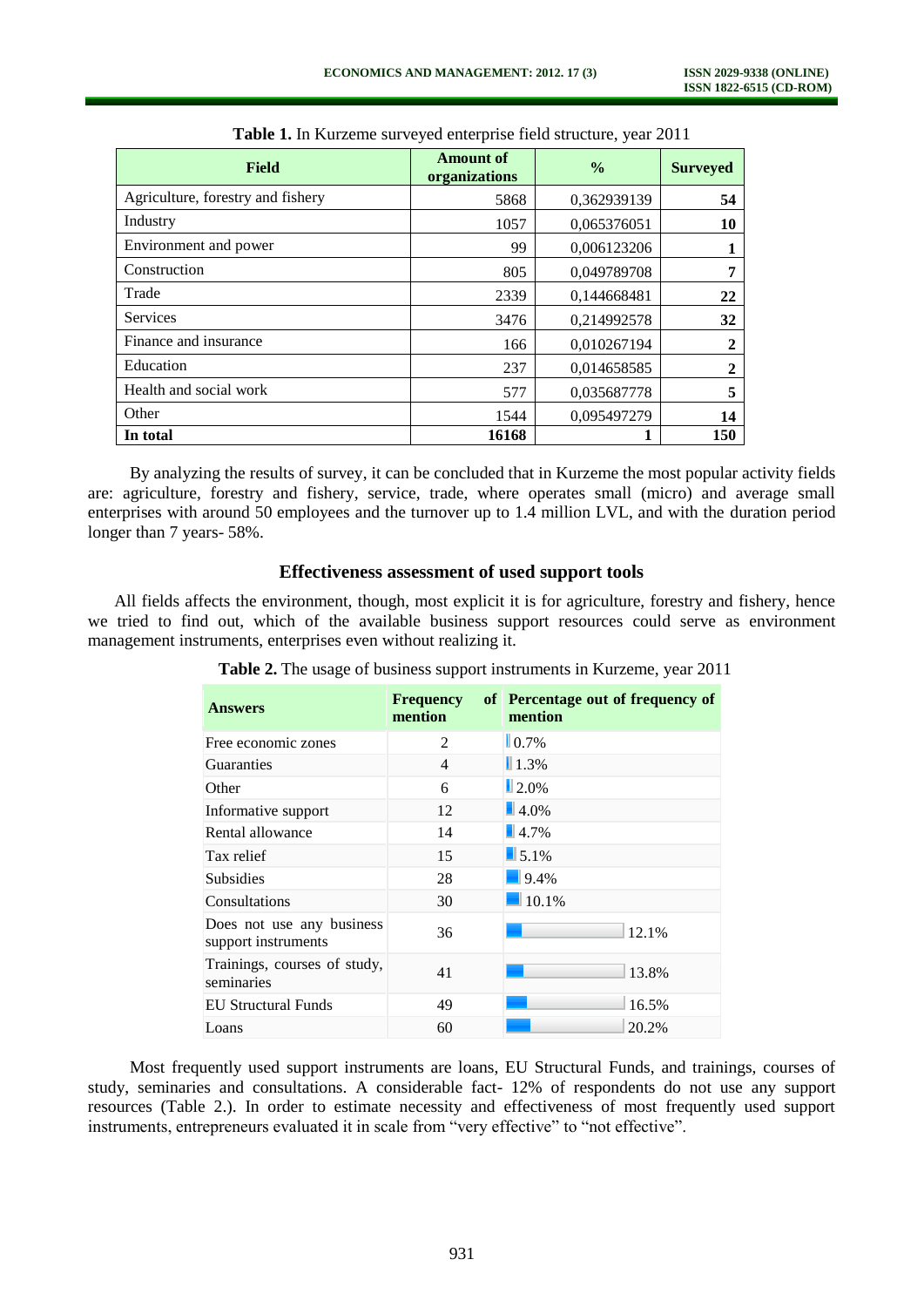| <b>Field</b>                      | <b>Amount of</b><br>organizations | $\frac{0}{0}$ | <b>Surveyed</b> |
|-----------------------------------|-----------------------------------|---------------|-----------------|
| Agriculture, forestry and fishery | 5868                              | 0,362939139   | 54              |
| Industry                          | 1057                              | 0,065376051   | 10              |
| Environment and power             | 99                                | 0,006123206   | 1               |
| Construction                      | 805                               | 0,049789708   | 7               |
| Trade                             | 2339                              | 0,144668481   | 22              |
| <b>Services</b>                   | 3476                              | 0,214992578   | 32              |
| Finance and insurance             | 166                               | 0,010267194   | $\overline{2}$  |
| Education                         | 237                               | 0,014658585   | $\overline{2}$  |
| Health and social work            | 577                               | 0,035687778   | 5               |
| Other                             | 1544                              | 0,095497279   | 14              |
| In total                          | 16168                             |               | 150             |

**Table 1.** In Kurzeme surveyed enterprise field structure, year 2011

By analyzing the results of survey, it can be concluded that in Kurzeme the most popular activity fields are: agriculture, forestry and fishery, service, trade, where operates small (micro) and average small enterprises with around 50 employees and the turnover up to 1.4 million LVL, and with the duration period longer than 7 years- 58%.

## **Effectiveness assessment of used support tools**

All fields affects the environment, though, most explicit it is for agriculture, forestry and fishery, hence we tried to find out, which of the available business support resources could serve as environment management instruments, enterprises even without realizing it.

| <b>Answers</b>                                   | <b>Frequency</b><br>mention | of Percentage out of frequency of<br>mention |
|--------------------------------------------------|-----------------------------|----------------------------------------------|
| Free economic zones                              | 2                           | $\blacksquare$ 0.7%                          |
| <b>Guaranties</b>                                | $\overline{4}$              | $1.3\%$                                      |
| Other                                            | 6                           | $\blacksquare$ 2.0%                          |
| Informative support                              | 12                          | $\blacksquare$ 4.0%                          |
| Rental allowance                                 | 14                          | $\blacksquare$ 4.7%                          |
| Tax relief                                       | 15                          | $\blacksquare$ 5.1%                          |
| <b>Subsidies</b>                                 | 28                          | $9.4\%$                                      |
| Consultations                                    | 30                          | 10.1%                                        |
| Does not use any business<br>support instruments | 36                          | 12.1%                                        |
| Trainings, courses of study,<br>seminaries       | 41                          | 13.8%                                        |
| EU Structural Funds                              | 49                          | 16.5%                                        |
| Loans                                            | 60                          | 20.2%                                        |

**Table 2.** The usage of business support instruments in Kurzeme, year 2011

Most frequently used support instruments are loans, EU Structural Funds, and trainings, courses of study, seminaries and consultations. A considerable fact- 12% of respondents do not use any support resources (Table 2.). In order to estimate necessity and effectiveness of most frequently used support instruments, entrepreneurs evaluated it in scale from "very effective" to "not effective".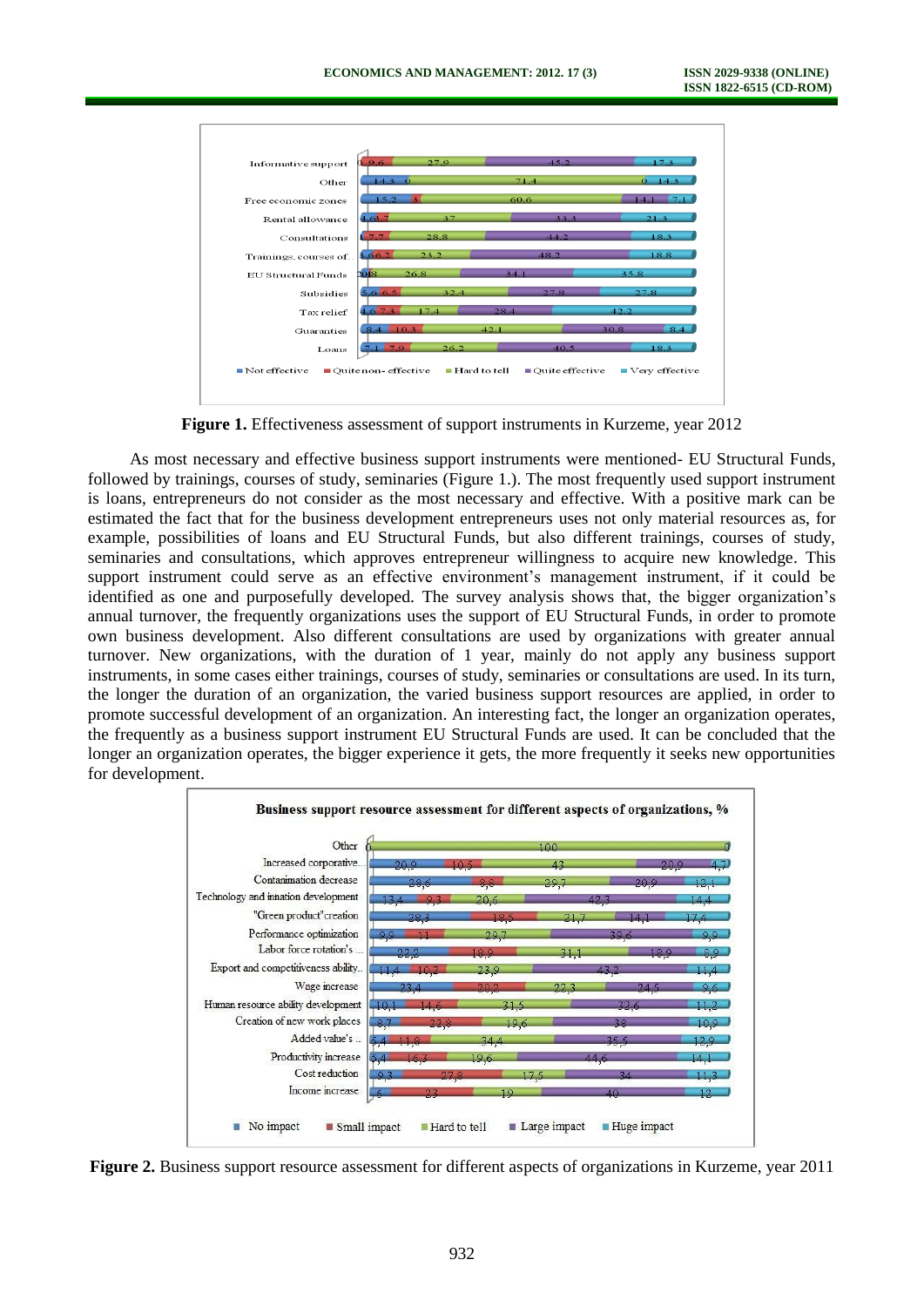

**Figure 1.** Effectiveness assessment of support instruments in Kurzeme, year 2012

As most necessary and effective business support instruments were mentioned- EU Structural Funds, followed by trainings, courses of study, seminaries (Figure 1.). The most frequently used support instrument is loans, entrepreneurs do not consider as the most necessary and effective. With a positive mark can be estimated the fact that for the business development entrepreneurs uses not only material resources as, for example, possibilities of loans and EU Structural Funds, but also different trainings, courses of study, seminaries and consultations, which approves entrepreneur willingness to acquire new knowledge. This support instrument could serve as an effective environment's management instrument, if it could be identified as one and purposefully developed. The survey analysis shows that, the bigger organization's annual turnover, the frequently organizations uses the support of EU Structural Funds, in order to promote own business development. Also different consultations are used by organizations with greater annual turnover. New organizations, with the duration of 1 year, mainly do not apply any business support instruments, in some cases either trainings, courses of study, seminaries or consultations are used. In its turn, the longer the duration of an organization, the varied business support resources are applied, in order to promote successful development of an organization. An interesting fact, the longer an organization operates, the frequently as a business support instrument EU Structural Funds are used. It can be concluded that the longer an organization operates, the bigger experience it gets, the more frequently it seeks new opportunities for development.



**Figure 2.** Business support resource assessment for different aspects of organizations in Kurzeme, year 2011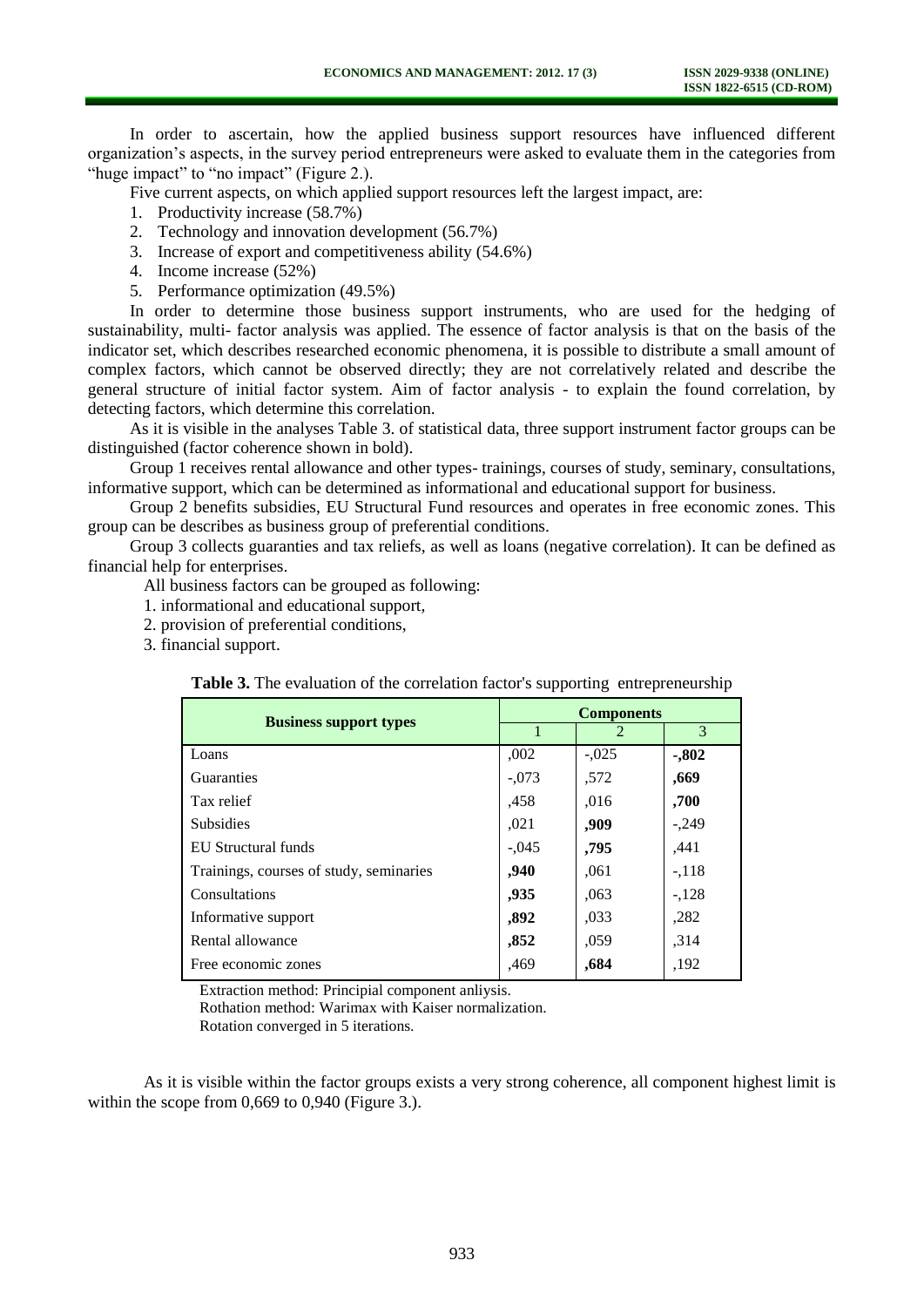In order to ascertain, how the applied business support resources have influenced different organization's aspects, in the survey period entrepreneurs were asked to evaluate them in the categories from "huge impact" to "no impact" (Figure 2.).

Five current aspects, on which applied support resources left the largest impact, are:

- 1. Productivity increase (58.7%)
- 2. Technology and innovation development (56.7%)
- 3. Increase of export and competitiveness ability (54.6%)
- 4. Income increase (52%)
- 5. Performance optimization (49.5%)

In order to determine those business support instruments, who are used for the hedging of sustainability, multi- factor analysis was applied. The essence of factor analysis is that on the basis of the indicator set, which describes researched economic phenomena, it is possible to distribute a small amount of complex factors, which cannot be observed directly; they are not correlatively related and describe the general structure of initial factor system. Aim of factor analysis - to explain the found correlation, by detecting factors, which determine this correlation.

As it is visible in the analyses Table 3. of statistical data, three support instrument factor groups can be distinguished (factor coherence shown in bold).

Group 1 receives rental allowance and other types- trainings, courses of study, seminary, consultations, informative support, which can be determined as informational and educational support for business.

Group 2 benefits subsidies, EU Structural Fund resources and operates in free economic zones. This group can be describes as business group of preferential conditions.

Group 3 collects guaranties and tax reliefs, as well as loans (negative correlation). It can be defined as financial help for enterprises.

All business factors can be grouped as following:

- 1. informational and educational support,
- 2. provision of preferential conditions,
- 3. financial support.

**Table 3.** The evaluation of the correlation factor's supporting entrepreneurship

| <b>Business support types</b>           | <b>Components</b> |         |         |
|-----------------------------------------|-------------------|---------|---------|
|                                         |                   |         | 3       |
| Loans                                   | ,002              | $-.025$ | $-.802$ |
| Guaranties                              | $-.073$           | .572    | ,669    |
| Tax relief                              | .458              | ,016    | ,700    |
| <b>Subsidies</b>                        | ,021              | ,909    | $-.249$ |
| <b>EU</b> Structural funds              | $-.045$           | ,795    | ,441    |
| Trainings, courses of study, seminaries | ,940              | ,061    | $-118$  |
| Consultations                           | ,935              | ,063    | $-128$  |
| Informative support                     | ,892              | ,033    | ,282    |
| Rental allowance                        | ,852              | ,059    | ,314    |
| Free economic zones                     | .469              | ,684    | ,192    |

Extraction method: Principial component anliysis.

Rothation method: Warimax with Kaiser normalization.

Rotation converged in 5 iterations.

As it is visible within the factor groups exists a very strong coherence, all component highest limit is within the scope from 0,669 to 0,940 (Figure 3.).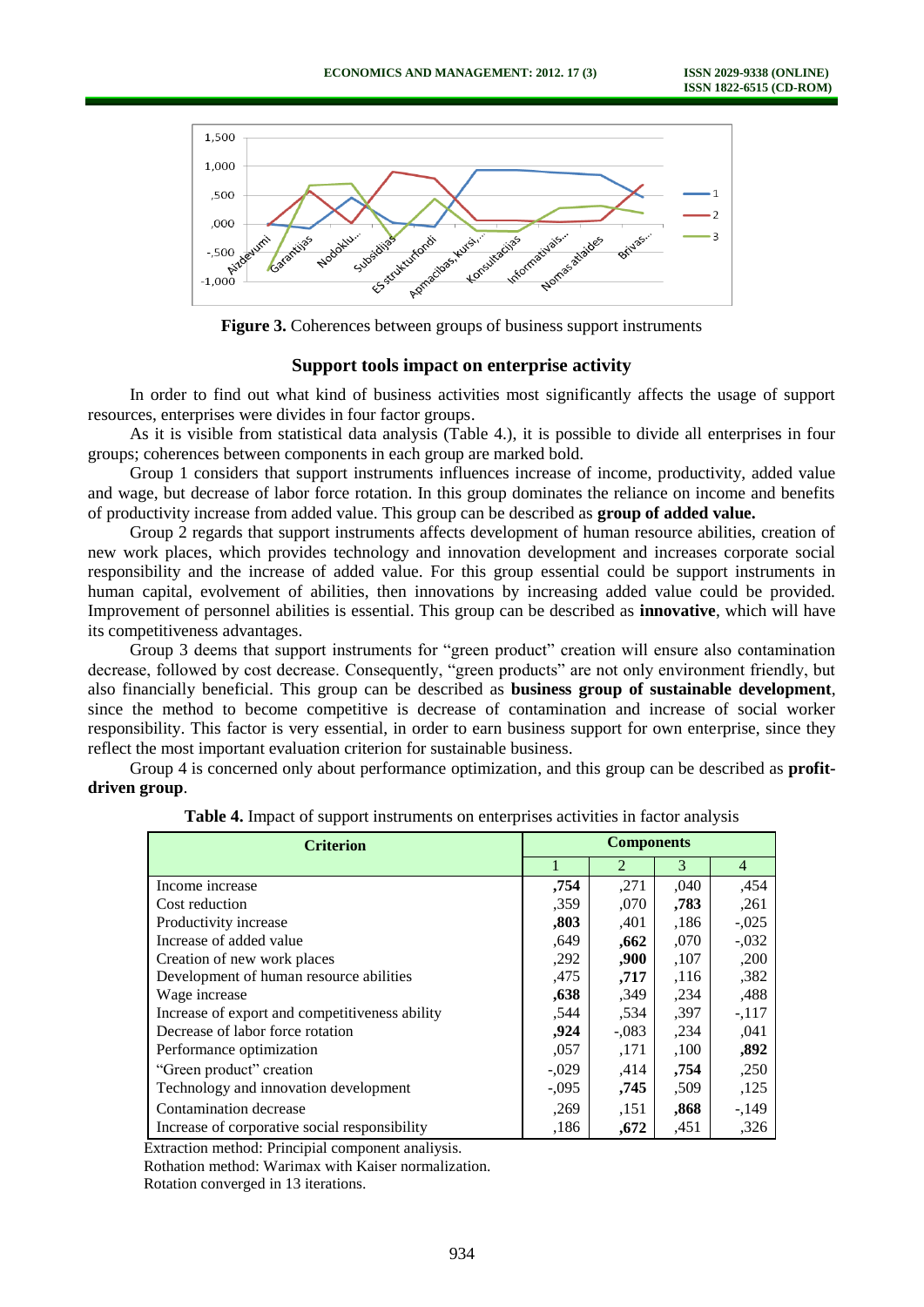

**Figure 3.** Coherences between groups of business support instruments

## **Support tools impact on enterprise activity**

In order to find out what kind of business activities most significantly affects the usage of support resources, enterprises were divides in four factor groups.

As it is visible from statistical data analysis (Table 4.), it is possible to divide all enterprises in four groups; coherences between components in each group are marked bold.

Group 1 considers that support instruments influences increase of income, productivity, added value and wage, but decrease of labor force rotation. In this group dominates the reliance on income and benefits of productivity increase from added value. This group can be described as **group of added value.**

Group 2 regards that support instruments affects development of human resource abilities, creation of new work places, which provides technology and innovation development and increases corporate social responsibility and the increase of added value. For this group essential could be support instruments in human capital, evolvement of abilities, then innovations by increasing added value could be provided. Improvement of personnel abilities is essential. This group can be described as **innovative**, which will have its competitiveness advantages.

Group 3 deems that support instruments for "green product" creation will ensure also contamination decrease, followed by cost decrease. Consequently, "green products" are not only environment friendly, but also financially beneficial. This group can be described as **business group of sustainable development**, since the method to become competitive is decrease of contamination and increase of social worker responsibility. This factor is very essential, in order to earn business support for own enterprise, since they reflect the most important evaluation criterion for sustainable business.

Group 4 is concerned only about performance optimization, and this group can be described as **profitdriven group**.

| <b>Criterion</b>                               | <b>Components</b> |         |      |                |
|------------------------------------------------|-------------------|---------|------|----------------|
|                                                |                   | 2       | 3    | $\overline{4}$ |
| Income increase                                | ,754              | ,271    | ,040 | ,454           |
| Cost reduction                                 | .359              | ,070    | ,783 | ,261           |
| Productivity increase                          | ,803              | ,401    | ,186 | $-.025$        |
| Increase of added value                        | ,649              | .662    | ,070 | $-.032$        |
| Creation of new work places                    | ,292              | ,900    | ,107 | ,200           |
| Development of human resource abilities        | ,475              | ,717    | ,116 | ,382           |
| Wage increase                                  | ,638              | ,349    | ,234 | ,488           |
| Increase of export and competitiveness ability | ,544              | ,534    | ,397 | $-.117$        |
| Decrease of labor force rotation               | ,924              | $-.083$ | ,234 | .041           |
| Performance optimization                       | ,057              | ,171    | ,100 | ,892           |
| "Green product" creation                       | $-.029$           | .414    | .754 | ,250           |
| Technology and innovation development          | $-0.095$          | ,745    | ,509 | ,125           |
| Contamination decrease                         | ,269              | .151    | ,868 | $-149$         |
| Increase of corporative social responsibility  | ,186              | .672    | ,451 | ,326           |

**Table 4.** Impact of support instruments on enterprises activities in factor analysis

Extraction method: Principial component analiysis.

Rothation method: Warimax with Kaiser normalization.

Rotation converged in 13 iterations.